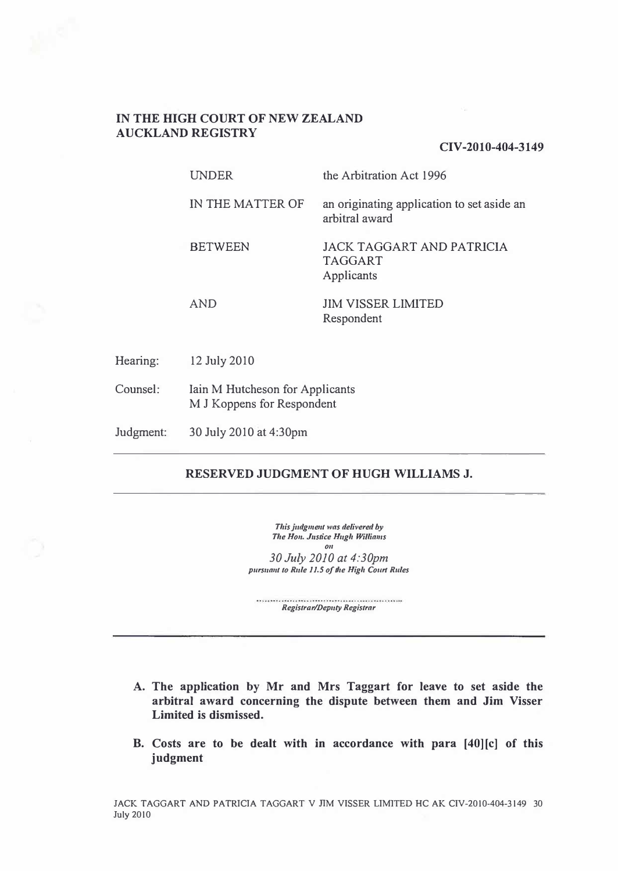## **IN THE HIGH COURT OF NEW ZEALAND AUCKLAND REGISTRY**

**CIV-2010-404-3149**

UNDER the Arbitration Act 1996

IN THE MATTER OF an originating application to set aside an

arbitral award

BETWEEN JACK TAGGART AND PATRICIA TAGGART Applicants

AND

JIM VISSER LIMITED Respondent

Hearing: 12 July 2010

Counsel: Iain M Hutcheson for Applicants M J Koppens for Respondent

Judgment: 30 July 2010 at 4:30pm

# **RESERVED JUDGMENT OF HUGH WILLIAMS J.**

*This judgment was delivered by The Ho11. Justice Hugh Williams OIi* 

*30July 2010 at 4:30pm pursua11t to Rule I 1.5 of the High Court Rules* 

*Registrar/Deputy Registrar* 

- **A. The application by Mr and Mrs Taggart for leave to set aside the arbitral award concerning the dispute between them and Jim Visser Limited is dismissed.**
- **B. Costs are to be dealt with in accordance with para [40][c] of this judgment**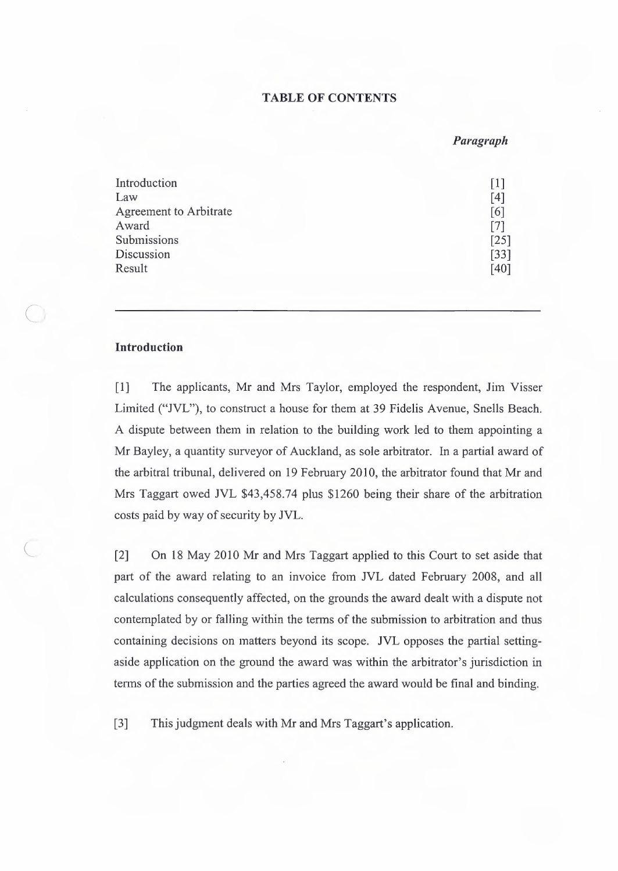# **TABLE OF CONTENTS**

#### *Paragraph*

| Introduction           | $\lceil 1 \rceil$ |
|------------------------|-------------------|
| Law                    | [4]               |
| Agreement to Arbitrate | [6]               |
| Award                  | [7]               |
| Submissions            | [25]              |
| Discussion             | $[33]$            |
| Result                 | [40]              |

#### **Introduction**

 $\cup$ 

[1] The applicants, Mr and Mrs Taylor, employed the respondent, Jim Visser Limited ("JVL"), to construct a house for them at 39 Fidelis Avenue, Snells Beach. A dispute between them in relation to the building work led to them appointing a Mr Bayley, a quantity surveyor of Auckland, as sole arbitrator. In a partial award of the arbitral tribunal, delivered on 19 February 2010, the arbitrator found that Mr and Mrs Taggart owed JVL \$43,458.74 plus \$1260 being their share of the arbitration costs paid by way of security by JVL.

[2] On 18 May 2010 Mr and Mrs Taggart applied to this Court to set aside that part of the award relating to an invoice from JVL dated February 2008, and all calculations consequently affected, on the grounds the award dealt with a dispute not contemplated by or falling within the terms of the submission to arbitration and thus containing decisions on matters beyond its scope. JVL opposes the partial settingaside application on the ground the award was within the arbitrator's jurisdiction in terms of the submission and the parties agreed the award would be final and binding.

[3] This judgment deals with Mr and Mrs Taggart's application.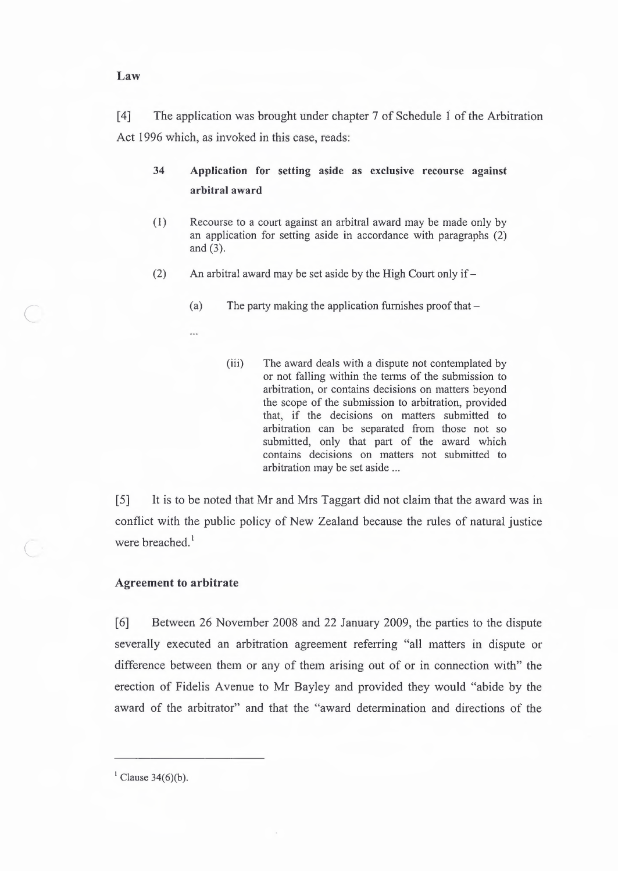[ 4] The application was brought under chapter 7 of Schedule 1 of the Arbitration Act 1996 which, as invoked in this case, reads:

# **34 Application for setting aside as exclusive recourse against arbitral award**

- ( 1) Recourse to a court against an arbitral award may be made only by an application for setting aside in accordance with paragraphs (2) and (3).
- (2) An arbitral award may be set aside by the High Court only if  $-$ 
	- (a) The party making the application furnishes proof that  $-$ 
		- (iii) The award deals with a dispute not contemplated by or not falling within the terms of the submission to arbitration, or contains decisions on matters beyond the scope of the submission to arbitration, provided that, if the decisions on matters submitted to arbitration can be separated from those not so submitted, only that part of the award which contains decisions on matters not submitted to arbitration may be set aside ...

[5] It is to be noted that Mr and Mrs Taggart did not claim that the award was in conflict with the public policy of New Zealand because the rules of natural justice were breached.<sup>1</sup>

#### **Agreement to arbitrate**

 $\subset$ 

[6] Between 26 November 2008 and 22 January 2009, the parties to the dispute severally executed an arbitration agreement referring "all matters in dispute or difference between them or any of them arising out of or in connection with" the erection of Fidelis Avenue to Mr Bayley and provided they would "abide by the award of the arbitrator" and that the "award determination and directions of the

 $<sup>1</sup>$  Clause 34(6)(b).</sup>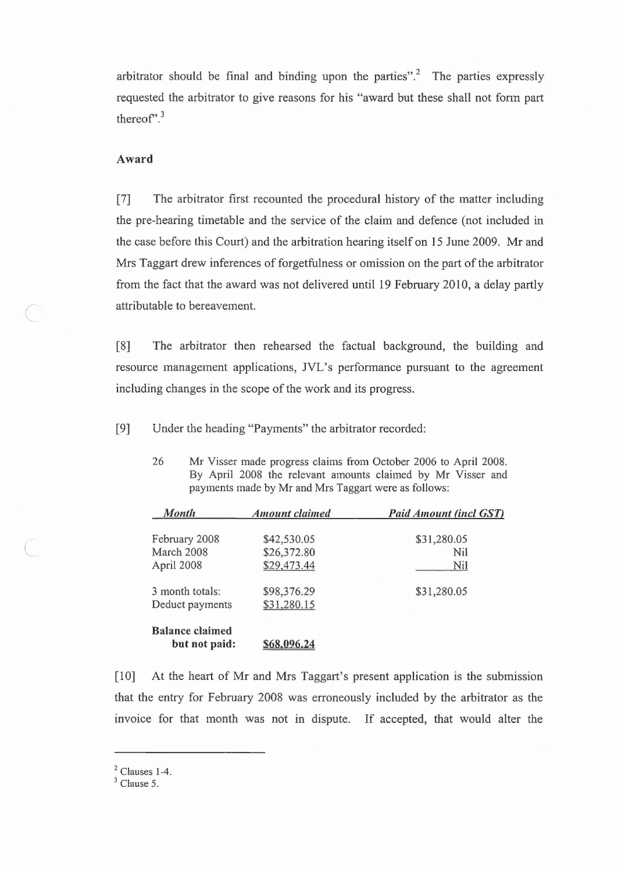arbitrator should be final and binding upon the parties".<sup>2</sup> The parties expressly requested the arbitrator to give reasons for his "award but these shall not form part thereof".<sup>3</sup>

#### **Award**

*C* 

[7] The arbitrator first recounted the procedural history of the matter including the pre-hearing timetable and the service of the claim and defence (not included in the case before this Court) and the arbitration hearing itself on 15 June 2009. Mr and Mrs Taggart drew inferences of forgetfulness or omission on the part of the arbitrator from the fact that the award was not delivered until 19 February 2010, a delay partly attributable to bereavement.

[8] The arbitrator then rehearsed the factual background, the building and resource management applications, JVL's performance pursuant to the agreement including changes in the scope of the work and its progress.

[9] Under the heading "Payments" the arbitrator recorded:

26 **Mr** Visser made progress claims from October 2006 to April 2008. By April 2008 the relevant amounts claimed by Mr Visser and payments made by Mr and Mrs Taggart were as follows:

| <b>Month</b>           | <b>Amount claimed</b> | <b>Paid Amount (incl GST)</b> |
|------------------------|-----------------------|-------------------------------|
| February 2008          | \$42,530.05           | \$31,280.05                   |
| March 2008             | \$26,372.80           | Nil                           |
| April 2008             | \$29,473.44           | Nil                           |
| 3 month totals:        | \$98,376.29           | \$31,280.05                   |
| Deduct payments        | \$31,280.15           |                               |
| <b>Balance claimed</b> |                       |                               |
| but not paid:          |                       |                               |

[10] At the heart of Mr and Mrs Taggart's present application is the submission that the entry for February 2008 was erroneously included by the arbitrator as the invoice for that month was not in dispute. If accepted, that would alter the

 $2$  Clauses 1-4.

<sup>&</sup>lt;sup>3</sup> Clause 5.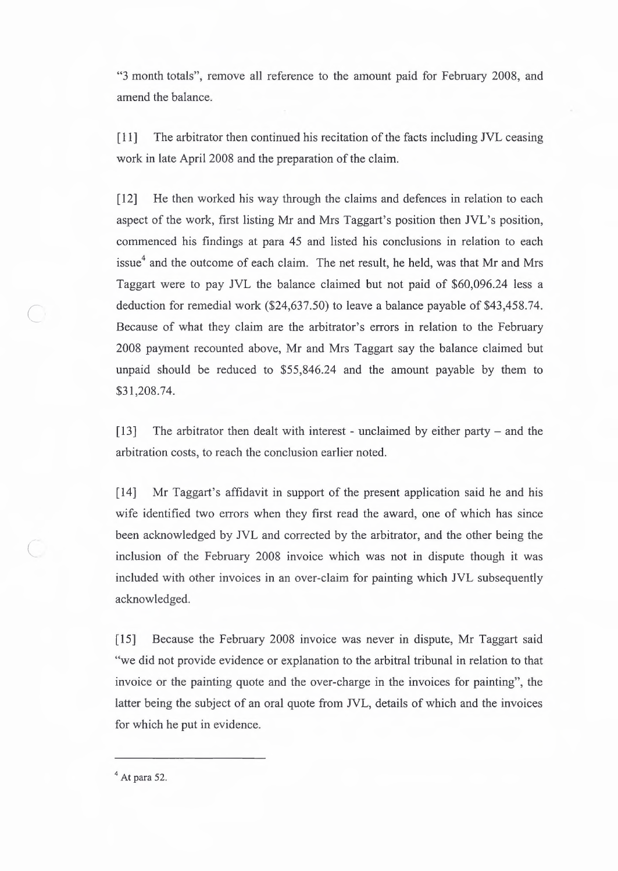"3 month totals", remove all reference to the amount paid for February 2008, and amend the balance.

[ 11] The arbitrator then continued his recitation of the facts including JVL ceasing work in late April 2008 and the preparation of the claim.

[12] He then worked his way through the claims and defences in relation to each aspect of the work, first listing Mr and Mrs Taggart's position then JVL's position, commenced his findings at para 45 and listed his conclusions in relation to each issue $<sup>4</sup>$  and the outcome of each claim. The net result, he held, was that Mr and Mrs</sup> Taggart were to pay JVL the balance claimed but not paid of \$60,096.24 less a deduction for remedial work (\$24,637.50) to leave a balance payable of \$43,458.74. Because of what they claim are the arbitrator's errors in relation to the February 2008 payment recounted above, Mr and Mrs Taggart say the balance claimed but unpaid should be reduced to \$55,846.24 and the amount payable by them to \$31,208.74.

[13] The arbitrator then dealt with interest - unclaimed by either party  $-$  and the arbitration costs, to reach the conclusion earlier noted.

[14] Mr Taggart's affidavit in support of the present application said he and his wife identified two errors when they first read the award, one of which has since been acknowledged by JVL and corrected by the arbitrator, and the other being the inclusion of the February 2008 invoice which was not in dispute though it was included with other invoices in an over-claim for painting which JVL subsequently acknowledged.

[15] Because the February 2008 invoice was never in dispute, Mr Taggart said "we did not provide evidence or explanation to the arbitral tribunal in relation to that invoice or the painting quote and the over-charge in the invoices for painting", the latter being the subject of an oral quote from JVL, details of which and the invoices for which he put in evidence.

 $<sup>4</sup>$  At para 52.</sup>

*(* 

 $\subset$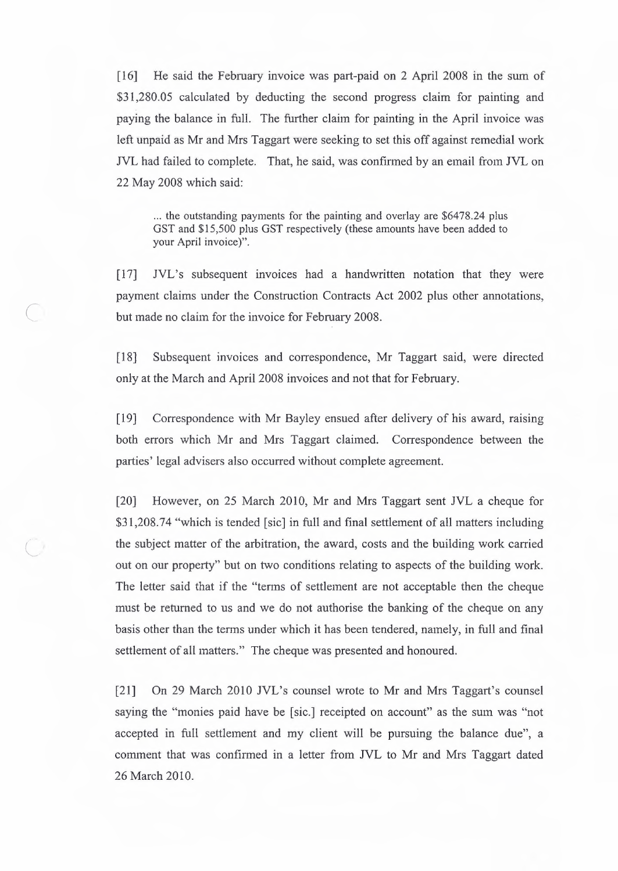[16] He said the February invoice was part-paid on 2 April 2008 in the sum of \$31,280.05 calculated by deducting the second progress claim for painting and paying the balance in full. The further claim for painting in the April invoice was left unpaid as Mr and Mrs Taggart were seeking to set this off against remedial work NL had failed to complete. That, he said, was confirmed by an email from JVL on 22 May 2008 which said:

... the outstanding payments for the painting and overlay are \$6478.24 plus GST and \$15,500 plus GST respectively (these amounts have been added to your April invoice)".

[17] JVL's subsequent invoices had a handwritten notation that they were payment claims under the Construction Contracts Act 2002 plus other annotations, but made no claim for the invoice for February 2008.

*C* 

[ 18] Subsequent invoices and correspondence, Mr Taggart said, were directed only at the March and April 2008 invoices and not that for February.

[19] Correspondence with Mr Bayley ensued after delivery of his award, raising both errors which Mr and Mrs Taggart claimed. Correspondence between the parties' legal advisers also occurred without complete agreement.

[20] However, on 25 March 2010, Mr and Mrs Taggart sent JVL a cheque for \$31,208.74 "which is tended [sic] in full and final settlement of all matters including the subject matter of the arbitration, the award, costs and the building work carried out on our property" but on two conditions relating to aspects of the building work. The letter said that if the "terms of settlement are not acceptable then the cheque must be returned to us and we do not authorise the banking of the cheque on any basis other than the terms under which it has been tendered, namely, in full and final settlement of all matters." The cheque was presented and honoured.

[21] On 29 March 2010 JVL's counsel wrote to Mr and Mrs Taggart's counsel saying the "monies paid have be [sic.] receipted on account" as the sum was "not accepted in full settlement and my client will be pursuing the balance due", a comment that was confirmed in a letter from JVL to Mr and Mrs Taggart dated 26 March 2010.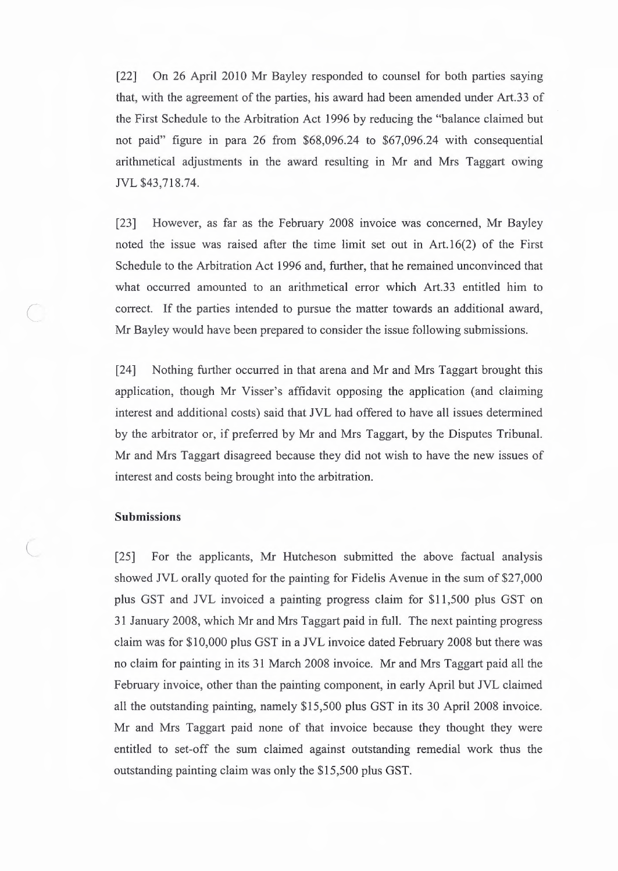(22] On 26 April 2010 Mr Bayley responded to counsel for both parties saying that, with the agreement of the parties, his award had been amended under Art.33 of the First Schedule to the Arbitration Act 1996 by reducing the "balance claimed but not paid" figure in para 26 from \$68,096.24 to \$67,096.24 with consequential arithmetical adjustments in the award resulting in Mr and Mrs Taggart owing NL \$43,718.74.

(23] However, as far as the February 2008 invoice was concerned, Mr Bayley noted the issue was raised after the time limit set out in Art.16(2) of the First Schedule to the Arbitration Act 1996 and, further, that he remained unconvinced that what occurred amounted to an arithmetical error which Art.33 entitled him to correct. If the parties intended to pursue the matter towards an additional award, Mr Bayley would have been prepared to consider the issue following submissions.

(24] Nothing further occurred in that arena and Mr and Mrs Taggart brought this application, though Mr Visser's affidavit opposing the application (and claiming interest and additional costs) said that JVL had offered to have all issues detennined by the arbitrator or, if preferred by Mr and Mrs Taggart, by the Disputes Tribunal. Mr and Mrs Taggart disagreed because they did not wish to have the new issues of interest and costs being brought into the arbitration.

#### **Submissions**

*(* 

[25] For the applicants, Mr Hutcheson submitted the above factual analysis showed JVL orally quoted for the painting for Fidelis Avenue in the sum of \$27,000 plus GST and JVL invoiced a painting progress claim for \$11,500 plus GST on 31 January 2008, which Mr and Mrs Taggart paid in full. The next painting progress claim was for \$10,000 plus GST in a JVL invoice dated February 2008 but there was no claim for painting in its 31 March 2008 invoice. Mr and Mrs Taggart paid all the February invoice, other than the painting component, in early April but JVL claimed all the outstanding painting, namely \$15,500 plus GST in its 30 April 2008 invoice. Mr and Mrs Taggart paid none of that invoice because they thought they were entitled to set-off the sum claimed against outstanding remedial work thus the outstanding painting claim was only the \$15,500 plus GST.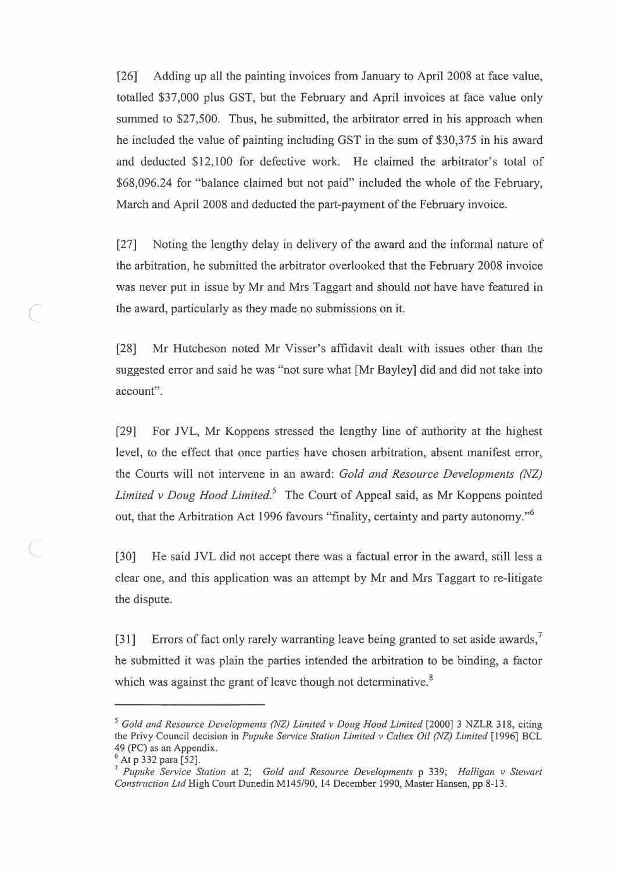[26] Adding up all the painting invoices from January to April 2008 at face value, totalled \$37,000 plus GST, but the February and April invoices at face value only summed to \$27,500. Thus, he submitted, the arbitrator erred in his approach when he included the value of painting including GST in the sum of \$30,375 in his award and deducted \$12,100 for defective work. He claimed the arbitrator's total of \$68,096.24 for "balance claimed but not paid" included the whole of the February, March and April 2008 and deducted the part-payment of the February invoice.

[27] Noting the lengthy delay in delivery of the award and the informal nature of the arbitration, he submitted the arbitrator overlooked that the February 2008 invoice was never put in issue by Mr and Mrs Taggart and should not have have featured in the award, particularly as they made no submissions on it.

[28] Mr Hutcheson noted Mr Visser's affidavit dealt with issues other than the suggested error and said he was "not sure what [Mr Bayley] did and did not take into account".

[29] For JVL, Mr Koppens stressed the lengthy line of authority at the highest level, to the effect that once parties have chosen arbitration, absent manifest error, the Courts will not intervene in an award: *Gold and Resource Developments (NZ) Limited v Doug Hood Limited.5* The Court of Appeal said, as Mr Koppens pointed out, that the Arbitration Act 1996 favours "finality, certainty and party autonomy."<sup>6</sup>

[30] He said JVL did not accept there was a factual error in the award, still less a clear one, and this application was an attempt by Mr and Mrs Taggart to re-litigate the dispute.

[31] Errors of fact only rarely warranting leave being granted to set aside awards,<sup>7</sup> he submitted it was plain the parties intended the arbitration to be binding, a factor which was against the grant of leave though not determinative.<sup>8</sup>

*C* 

<sup>&</sup>lt;sup>5</sup> Gold and Resource Developments (NZ) Limited v Doug Hood Limited [2000] 3 NZLR 318, citing the Privy Council decision in *Pupuke Service Station Limited v Caltex Oil (NZ) Limited* [1996] BCL 49 (PC) as an Appendix.

<sup>&</sup>lt;sup>6</sup> At p 332 para [52].

<sup>7</sup>*Pupuke Service Station* at 2; *Gold and Resource Developments* p 339; *Halligan v Stewart Construction Ltd* High Court Dunedin Ml45/90, 14 December 1990, Master Hansen, pp 8-13.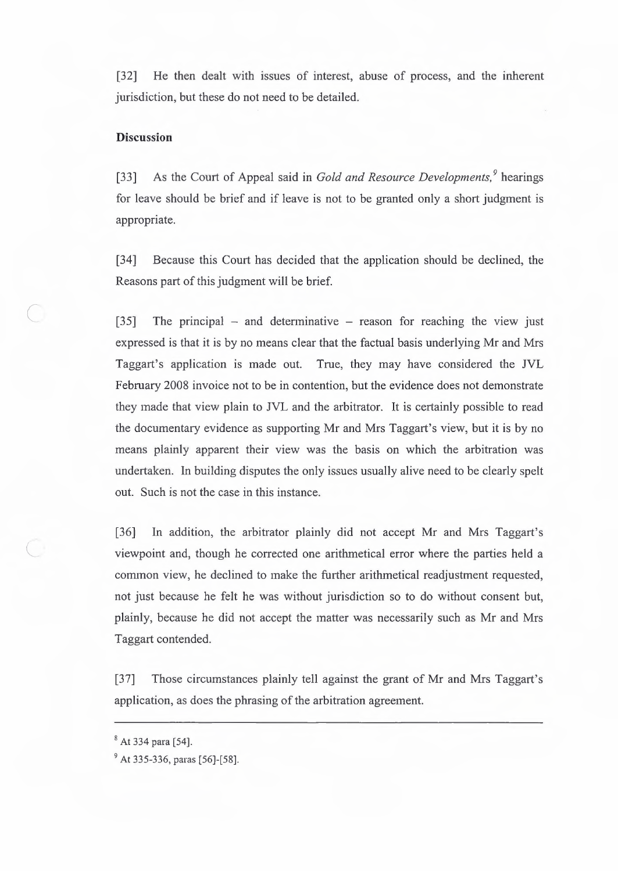[32] He then dealt with issues of interest, abuse of process, and the inherent jurisdiction, but these do not need to be detailed.

#### **Discussion**

[33] As the Court of Appeal said in *Gold and Resource Developments.'* hearings for leave should be brief and if leave is not to be granted only a short judgment is appropriate.

[34] Because this Court has decided that the application should be declined, the Reasons part of this judgment will be brief.

[35] The principal – and determinative – reason for reaching the view just expressed is that it is by no means clear that the factual basis underlying Mr and Mrs Taggart's application is made out. True, they may have considered the JVL February 2008 invoice not to be in contention, but the evidence does not demonstrate they made that view plain to JVL and the arbitrator. It is certainly possible to read the documentary evidence as supporting Mr and Mrs Taggart's view, but it is by no means plainly apparent their view was the basis on which the arbitration was undertaken. In building disputes the only issues usually alive need to be clearly spelt out. Such is not the case in this instance.

[36] In addition, the arbitrator plainly did not accept Mr and Mrs Taggart's viewpoint and, though he corrected one arithmetical error where the parties held a common view, he declined to make the further arithmetical readjustment requested, not just because he felt he was without jurisdiction so to do without consent but, plainly, because he did not accept the matter was necessarily such as Mr and Mrs Taggart contended.

[37] Those circumstances plainly tell against the grant of Mr and Mrs Taggart's application, as does the phrasing of the arbitration agreement.

..

<sup>8</sup>At 334 para [54].

<sup>9</sup>At 335-336, paras [56]-[58].